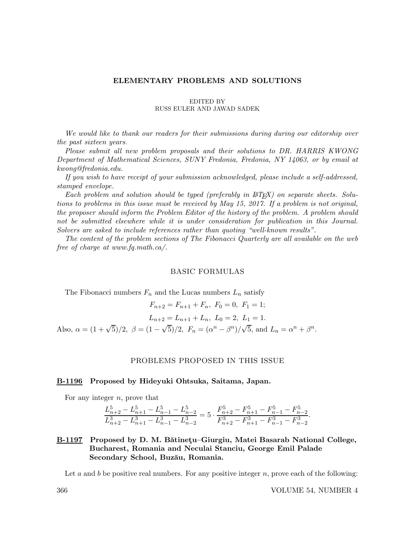## ELEMENTARY PROBLEMS AND SOLUTIONS

### EDITED BY RUSS EULER AND JAWAD SADEK

We would like to thank our readers for their submissions during during our editorship over the past sixteen years.

Please submit all new problem proposals and their solutions to DR. HARRIS KWONG Department of Mathematical Sciences, SUNY Fredonia, Fredonia, NY 14063, or by email at kwong@fredonia.edu.

If you wish to have receipt of your submission acknowledged, please include a self-addressed, stamped envelope.

Each problem and solution should be typed (preferably in  $\mathcal{B}T_F X$ ) on separate sheets. Solutions to problems in this issue must be received by May 15, 2017. If a problem is not original, the proposer should inform the Problem Editor of the history of the problem. A problem should not be submitted elsewhere while it is under consideration for publication in this Journal. Solvers are asked to include references rather than quoting "well-known results".

The content of the problem sections of The Fibonacci Quarterly are all available on the web free of charge at www.fq.math.ca/.

### BASIC FORMULAS

The Fibonacci numbers  $F_n$  and the Lucas numbers  $L_n$  satisfy

 $F_{n+2} = F_{n+1} + F_n, F_0 = 0, F_1 = 1;$  $L_{n+2} = L_{n+1} + L_n, L_0 = 2, L_1 = 1.$ Also,  $\alpha = (1 + \sqrt{5})/2$ ,  $\beta = (1 - \sqrt{5})/2$ ,  $F_n = (\alpha^n - \beta^n)/\sqrt{5}$ , and  $L_n = \alpha^n + \beta^n$ .

#### PROBLEMS PROPOSED IN THIS ISSUE

#### B-1196 Proposed by Hideyuki Ohtsuka, Saitama, Japan.

For any integer  $n$ , prove that

$$
\frac{L_{n+2}^5 - L_{n+1}^5 - L_{n-1}^5 - L_{n-2}^5}{L_{n+2}^3 - L_{n+1}^3 - L_{n-1}^3 - L_{n-2}^3} = 5 \cdot \frac{F_{n+2}^5 - F_{n+1}^5 - F_{n-1}^5 - F_{n-2}^5}{F_{n+2}^3 - F_{n+1}^3 - F_{n-1}^3 - F_{n-2}^3}.
$$

B-1197 Proposed by D. M. Bătinețu–Giurgiu, Matei Basarab National College, Bucharest, Romania and Neculai Stanciu, George Emil Palade Secondary School, Buzău, Romania.

Let a and b be positive real numbers. For any positive integer  $n$ , prove each of the following: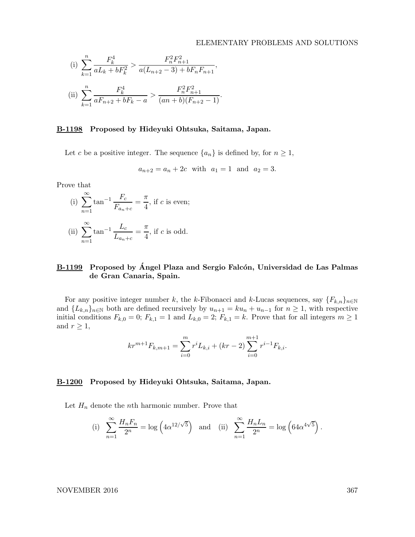## ELEMENTARY PROBLEMS AND SOLUTIONS

(i) 
$$
\sum_{k=1}^{n} \frac{F_k^4}{aL_k + bF_k^2} > \frac{F_n^2 F_{n+1}^2}{a(L_{n+2} - 3) + bF_n F_{n+1}},
$$
  
(ii) 
$$
\sum_{k=1}^{n} \frac{F_k^4}{aF_{n+2} + bF_k - a} > \frac{F_n^2 F_{n+1}^2}{(an + b)(F_{n+2} - 1)}.
$$

### B-1198 Proposed by Hideyuki Ohtsuka, Saitama, Japan.

Let c be a positive integer. The sequence  $\{a_n\}$  is defined by, for  $n \geq 1$ ,

$$
a_{n+2} = a_n + 2c
$$
 with  $a_1 = 1$  and  $a_2 = 3$ .

Prove that

(i) 
$$
\sum_{n=1}^{\infty} \tan^{-1} \frac{F_c}{F_{a_n+c}} = \frac{\pi}{4}
$$
, if *c* is even;

(ii) 
$$
\sum_{n=1}^{\infty} \tan^{-1} \frac{L_c}{L_{a_n+c}} = \frac{\pi}{4}
$$
, if *c* is odd.

# B-1199 Proposed by Ángel Plaza and Sergio Falcón, Universidad de Las Palmas de Gran Canaria, Spain.

For any positive integer number k, the k-Fibonacci and k-Lucas sequences, say  ${F_{k,n}}_{n\in\mathbb{N}}$ and  ${L_{k,n}}_{n\in\mathbb{N}}$  both are defined recursively by  $u_{n+1} = ku_n + u_{n-1}$  for  $n \geq 1$ , with respective initial conditions  $F_{k,0} = 0$ ;  $F_{k,1} = 1$  and  $L_{k,0} = 2$ ;  $F_{k,1} = k$ . Prove that for all integers  $m \ge 1$ and  $r \geq 1$ ,

$$
kr^{m+1}F_{k,m+1} = \sum_{i=0}^{m} r^{i}L_{k,i} + (kr - 2) \sum_{i=0}^{m+1} r^{i-1}F_{k,i}.
$$

## B-1200 Proposed by Hideyuki Ohtsuka, Saitama, Japan.

Let  $H_n$  denote the *n*th harmonic number. Prove that

(i) 
$$
\sum_{n=1}^{\infty} \frac{H_n F_n}{2^n} = \log \left( 4\alpha^{12/\sqrt{5}} \right)
$$
 and (ii) 
$$
\sum_{n=1}^{\infty} \frac{H_n L_n}{2^n} = \log \left( 64\alpha^{4\sqrt{5}} \right).
$$

#### NOVEMBER 2016 367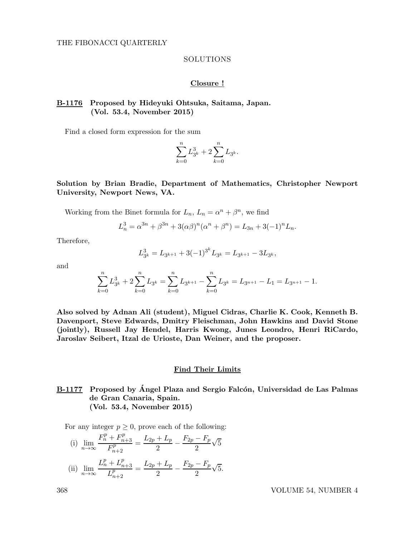## SOLUTIONS

## Closure !

# B-1176 Proposed by Hideyuki Ohtsuka, Saitama, Japan. (Vol. 53.4, November 2015)

Find a closed form expression for the sum

$$
\sum_{k=0}^{n} L_{3^k}^3 + 2\sum_{k=0}^{n} L_{3^k}.
$$

Solution by Brian Bradie, Department of Mathematics, Christopher Newport University, Newport News, VA.

Working from the Binet formula for 
$$
L_n
$$
,  $L_n = \alpha^n + \beta^n$ , we find

$$
L_n^3 = \alpha^{3n} + \beta^{3n} + 3(\alpha\beta)^n(\alpha^n + \beta^n) = L_{3n} + 3(-1)^n L_n.
$$

Therefore,

$$
L_{3^k}^3 = L_{3^{k+1}} + 3(-1)^{3^k} L_{3^k} = L_{3^{k+1}} - 3L_{3^k},
$$

and

$$
\sum_{k=0}^{n} L_{3^k}^3 + 2\sum_{k=0}^{n} L_{3^k} = \sum_{k=0}^{n} L_{3^{k+1}} - \sum_{k=0}^{n} L_{3^k} = L_{3^{n+1}} - L_1 = L_{3^{n+1}} - 1.
$$

Also solved by Adnan Ali (student), Miguel Cidras, Charlie K. Cook, Kenneth B. Davenport, Steve Edwards, Dmitry Fleischman, John Hawkins and David Stone (jointly), Russell Jay Hendel, Harris Kwong, Junes Leondro, Henri RiCardo, Jaroslav Seibert, Itzal de Urioste, Dan Weiner, and the proposer.

### Find Their Limits

# B-1177 Proposed by Ángel Plaza and Sergio Falcón, Universidad de Las Palmas de Gran Canaria, Spain. (Vol. 53.4, November 2015)

For any integer  $p \geq 0$ , prove each of the following:

(i) 
$$
\lim_{n \to \infty} \frac{F_n^p + F_{n+3}^p}{F_{n+2}^p} = \frac{L_{2p} + L_p}{2} - \frac{F_{2p} - F_p}{2} \sqrt{5}
$$
  
\n(ii) 
$$
\lim_{n \to \infty} \frac{L_n^p + L_{n+3}^p}{L_{n+2}^p} = \frac{L_{2p} + L_p}{2} - \frac{F_{2p} - F_p}{2} \sqrt{5}.
$$

368 VOLUME 54, NUMBER 4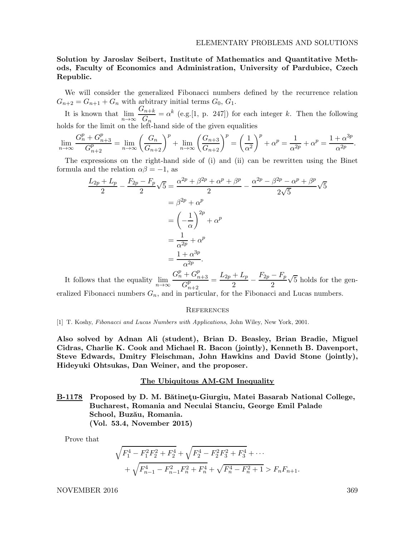Solution by Jaroslav Seibert, Institute of Mathematics and Quantitative Methods, Faculty of Economics and Administration, University of Pardubice, Czech Republic.

We will consider the generalized Fibonacci numbers defined by the recurrence relation  $G_{n+2} = G_{n+1} + G_n$  with arbitrary initial terms  $G_0, G_1$ .

It is known that  $\lim_{n\to\infty} \frac{G_{n+k}}{G_n}$  $\frac{G_n+k}{G_n} = \alpha^k$  (e.g.[1, p. 247]) for each integer k. Then the following holds for the limit on the left-hand side of the given equalities

$$
\lim_{n \to \infty} \frac{G_n^p + G_{n+3}^p}{G_{n+2}^p} = \lim_{n \to \infty} \left(\frac{G_n}{G_{n+2}}\right)^p + \lim_{n \to \infty} \left(\frac{G_{n+3}}{G_{n+2}}\right)^p = \left(\frac{1}{\alpha^2}\right)^p + \alpha^p = \frac{1}{\alpha^{2p}} + \alpha^p = \frac{1 + \alpha^{3p}}{\alpha^{2p}}.
$$

The expressions on the right-hand side of (i) and (ii) can be rewritten using the Binet formula and the relation  $\alpha\beta = -1$ , as

$$
\frac{L_{2p} + L_p}{2} - \frac{F_{2p} - F_p}{2} \sqrt{5} = \frac{\alpha^{2p} + \beta^{2p} + \alpha^p + \beta^p}{2} - \frac{\alpha^{2p} - \beta^{2p} - \alpha^p + \beta^p}{2\sqrt{5}} \sqrt{5}
$$

$$
= \beta^{2p} + \alpha^p
$$

$$
= \left(-\frac{1}{\alpha}\right)^{2p} + \alpha^p
$$

$$
= \frac{1}{\alpha^{2p}} + \alpha^p
$$

$$
= \frac{1 + \alpha^{3p}}{\alpha^{2p}}.
$$

It follows that the equality  $\lim_{n\to\infty}$  $G_n^p + G_{n+3}^p$  $G^p_{n+2}$  $=\frac{L_{2p}+L_{p}}{2}$  $\frac{+L_p}{2} - \frac{F_{2p} - F_p}{2}$ 2  $\sqrt{5}$  holds for the generalized Fibonacci numbers  $G_n$ , and in particular, for the Fibonacci and Lucas numbers.

#### **REFERENCES**

[1] T. Koshy, Fibonacci and Lucas Numbers with Applications, John Wiley, New York, 2001.

Also solved by Adnan Ali (student), Brian D. Beasley, Brian Bradie, Miguel Cidras, Charlie K. Cook and Michael R. Bacon (jointly), Kenneth B. Davenport, Steve Edwards, Dmitry Fleischman, John Hawkins and David Stone (jointly), Hideyuki Ohtsukas, Dan Weiner, and the proposer.

#### The Ubiquitous AM-GM Inequality

B-1178 Proposed by D. M. Bătinetu-Giurgiu, Matei Basarab National College, Bucharest, Romania and Neculai Stanciu, George Emil Palade School, Buzău, Romania. (Vol. 53.4, November 2015)

Prove that

$$
\sqrt{F_1^4 - F_1^2 F_2^2 + F_2^4} + \sqrt{F_2^4 - F_2^2 F_3^2 + F_3^4} + \cdots
$$
  
+ 
$$
\sqrt{F_{n-1}^4 - F_{n-1}^2 F_n^2 + F_n^4} + \sqrt{F_n^4 - F_n^2 + 1} > F_n F_{n+1}.
$$

NOVEMBER 2016 369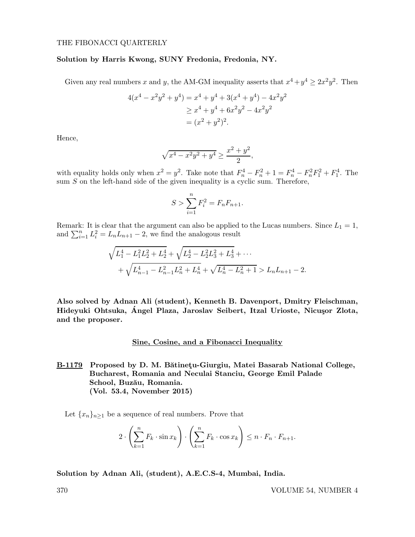#### THE FIBONACCI QUARTERLY

## Solution by Harris Kwong, SUNY Fredonia, Fredonia, NY.

Given any real numbers x and y, the AM-GM inequality asserts that  $x^4 + y^4 \ge 2x^2y^2$ . Then

$$
4(x4 - x2y2 + y4) = x4 + y4 + 3(x4 + y4) - 4x2y2
$$
  
\n
$$
\geq x4 + y4 + 6x2y2 - 4x2y2
$$
  
\n
$$
= (x2 + y2)2.
$$

Hence,

$$
\sqrt{x^4 - x^2y^2 + y^4} \ge \frac{x^2 + y^2}{2},
$$

with equality holds only when  $x^2 = y^2$ . Take note that  $F_n^4 - F_n^2 + 1 = F_n^4 - F_n^2 F_1^2 + F_1^4$ . The sum  $S$  on the left-hand side of the given inequality is a cyclic sum. Therefore,

$$
S > \sum_{i=1}^{n} F_i^2 = F_n F_{n+1}.
$$

Remark: It is clear that the argument can also be applied to the Lucas numbers. Since  $L_1 = 1$ , and  $\sum_{i=1}^{n} L_i^2 = L_n L_{n+1} - 2$ , we find the analogous result

$$
\sqrt{L_1^4 - L_1^2 L_2^2 + L_2^4} + \sqrt{L_2^4 - L_2^2 L_3^2 + L_3^4} + \cdots
$$
  
+ 
$$
\sqrt{L_{n-1}^4 - L_{n-1}^2 L_n^2 + L_n^4} + \sqrt{L_n^4 - L_n^2 + 1} > L_n L_{n+1} - 2.
$$

Also solved by Adnan Ali (student), Kenneth B. Davenport, Dmitry Fleischman, Hideyuki Ohtsuka, Ángel Plaza, Jaroslav Seibert, Itzal Urioste, Nicusor Zlota, and the proposer.

## Sine, Cosine, and a Fibonacci Inequality

B-1179 Proposed by D. M. Bătinetu-Giurgiu, Matei Basarab National College, Bucharest, Romania and Neculai Stanciu, George Emil Palade School, Buzău, Romania. (Vol. 53.4, November 2015)

Let  ${x_n}_{n\geq 1}$  be a sequence of real numbers. Prove that

$$
2 \cdot \left(\sum_{k=1}^n F_k \cdot \sin x_k\right) \cdot \left(\sum_{k=1}^n F_k \cdot \cos x_k\right) \leq n \cdot F_n \cdot F_{n+1}.
$$

Solution by Adnan Ali, (student), A.E.C.S-4, Mumbai, India.

370 VOLUME 54, NUMBER 4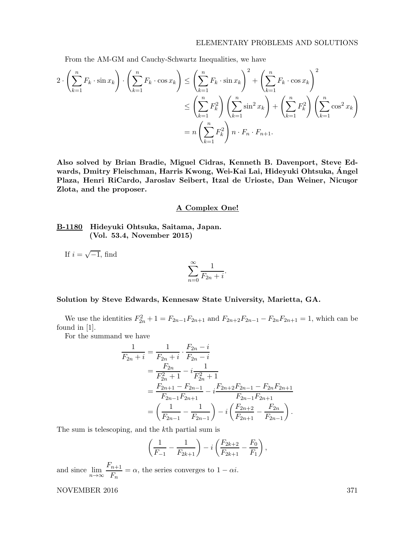From the AM-GM and Cauchy-Schwartz Inequalities, we have

$$
2 \cdot \left(\sum_{k=1}^{n} F_k \cdot \sin x_k\right) \cdot \left(\sum_{k=1}^{n} F_k \cdot \cos x_k\right) \le \left(\sum_{k=1}^{n} F_k \cdot \sin x_k\right)^2 + \left(\sum_{k=1}^{n} F_k \cdot \cos x_k\right)^2
$$
  

$$
\le \left(\sum_{k=1}^{n} F_k^2\right) \left(\sum_{k=1}^{n} \sin^2 x_k\right) + \left(\sum_{k=1}^{n} F_k^2\right) \left(\sum_{k=1}^{n} \cos^2 x_k\right)
$$
  

$$
= n \left(\sum_{k=1}^{n} F_k^2\right) n \cdot F_n \cdot F_{n+1}.
$$

Also solved by Brian Bradie, Miguel Cidras, Kenneth B. Davenport, Steve Edwards, Dmitry Fleischman, Harris Kwong, Wei-Kai Lai, Hideyuki Ohtsuka, Angel ´ Plaza, Henri RiCardo, Jaroslav Seibert, Itzal de Urioste, Dan Weiner, Nicusor Zlota, and the proposer.

## A Complex One!

B-1180 Hideyuki Ohtsuka, Saitama, Japan. (Vol. 53.4, November 2015)

If  $i = \sqrt{-1}$ , find

$$
\sum_{n=0}^{\infty} \frac{1}{F_{2n} + i}
$$

.

## Solution by Steve Edwards, Kennesaw State University, Marietta, GA.

We use the identities  $F_{2n}^2 + 1 = F_{2n-1}F_{2n+1}$  and  $F_{2n+2}F_{2n-1} - F_{2n}F_{2n+1} = 1$ , which can be found in [1].

For the summand we have

$$
\frac{1}{F_{2n}+i} = \frac{1}{F_{2n}+i} \cdot \frac{F_{2n}-i}{F_{2n}-i}
$$
\n
$$
= \frac{F_{2n}}{F_{2n}^2+1} - i \frac{1}{F_{2n}^2+1}
$$
\n
$$
= \frac{F_{2n+1}-F_{2n-1}}{F_{2n-1}F_{2n+1}} - i \frac{F_{2n+2}F_{2n-1}-F_{2n}F_{2n+1}}{F_{2n-1}F_{2n+1}}
$$
\n
$$
= \left(\frac{1}{F_{2n-1}} - \frac{1}{F_{2n-1}}\right) - i \left(\frac{F_{2n+2}}{F_{2n+1}} - \frac{F_{2n}}{F_{2n-1}}\right).
$$

The sum is telescoping, and the kth partial sum is

$$
\left(\frac{1}{F_{-1}} - \frac{1}{F_{2k+1}}\right) - i \left(\frac{F_{2k+2}}{F_{2k+1}} - \frac{F_0}{F_1}\right),\,
$$

and since  $\lim_{n\to\infty} \frac{F_{n+1}}{F_n}$  $\frac{n+1}{F_n} = \alpha$ , the series converges to  $1 - \alpha i$ .

NOVEMBER 2016 371